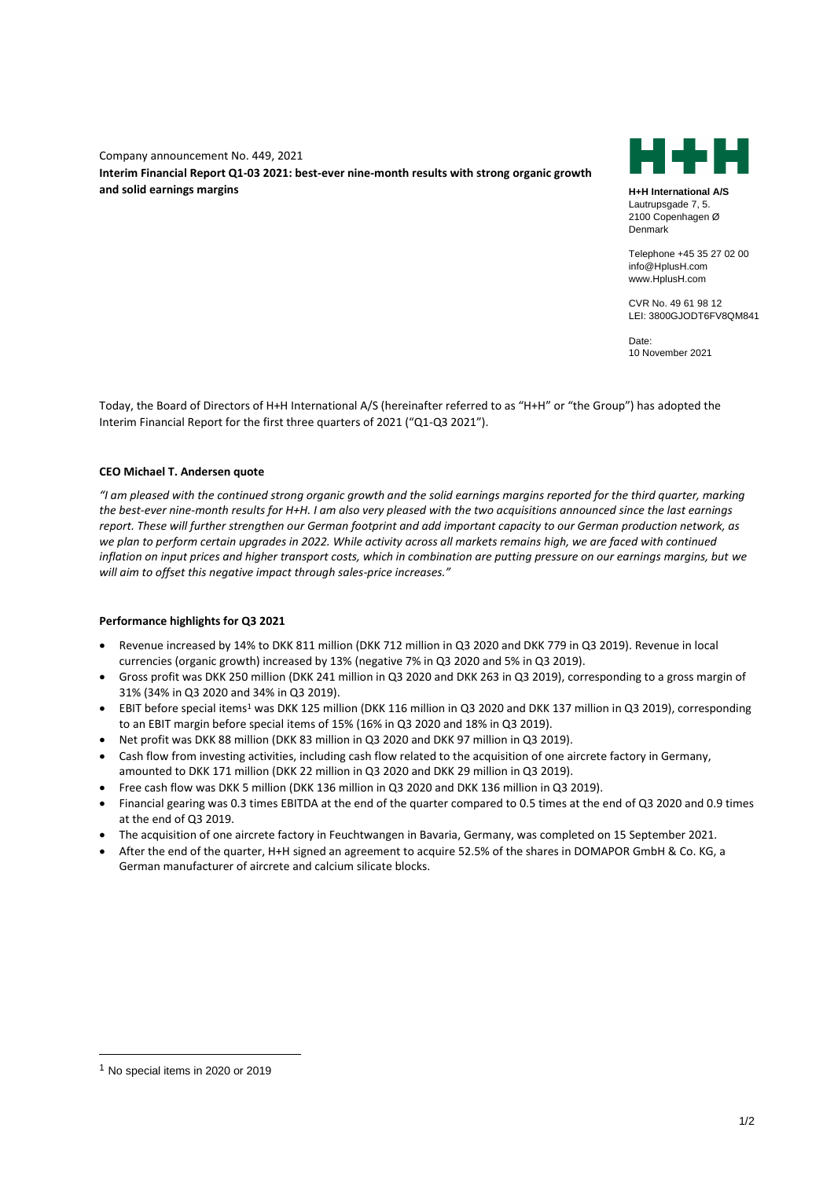Company announcement No. 449, 2021 **Interim Financial Report Q1-03 2021: best-ever nine-month results with strong organic growth and solid earnings margins H+H International A/S**



Lautrupsgade 7, 5. 2100 Copenhagen Ø Denmark

Telephone +45 35 27 02 00 info@HplusH.com www.HplusH.com

CVR No. 49 61 98 12 LEI: 3800GJODT6FV8QM841

Date: 10 November 2021

Today, the Board of Directors of H+H International A/S (hereinafter referred to as "H+H" or "the Group") has adopted the Interim Financial Report for the first three quarters of 2021 ("Q1-Q3 2021").

## **CEO Michael T. Andersen quote**

*"I am pleased with the continued strong organic growth and the solid earnings margins reported for the third quarter, marking the best-ever nine-month results for H+H. I am also very pleased with the two acquisitions announced since the last earnings report. These will further strengthen our German footprint and add important capacity to our German production network, as*  we plan to perform certain upgrades in 2022. While activity across all markets remains high, we are faced with continued *inflation on input prices and higher transport costs, which in combination are putting pressure on our earnings margins, but we will aim to offset this negative impact through sales-price increases."*

# **Performance highlights for Q3 2021**

- Revenue increased by 14% to DKK 811 million (DKK 712 million in Q3 2020 and DKK 779 in Q3 2019). Revenue in local currencies (organic growth) increased by 13% (negative 7% in Q3 2020 and 5% in Q3 2019).
- Gross profit was DKK 250 million (DKK 241 million in Q3 2020 and DKK 263 in Q3 2019), corresponding to a gross margin of 31% (34% in Q3 2020 and 34% in Q3 2019).
- EBIT before special items<sup>1</sup> was DKK 125 million (DKK 116 million in Q3 2020 and DKK 137 million in Q3 2019), corresponding to an EBIT margin before special items of 15% (16% in Q3 2020 and 18% in Q3 2019).
- Net profit was DKK 88 million (DKK 83 million in Q3 2020 and DKK 97 million in Q3 2019).
- Cash flow from investing activities, including cash flow related to the acquisition of one aircrete factory in Germany, amounted to DKK 171 million (DKK 22 million in Q3 2020 and DKK 29 million in Q3 2019).
- Free cash flow was DKK 5 million (DKK 136 million in Q3 2020 and DKK 136 million in Q3 2019).
- Financial gearing was 0.3 times EBITDA at the end of the quarter compared to 0.5 times at the end of Q3 2020 and 0.9 times at the end of Q3 2019.
- The acquisition of one aircrete factory in Feuchtwangen in Bavaria, Germany, was completed on 15 September 2021.
- After the end of the quarter, H+H signed an agreement to acquire 52.5% of the shares in DOMAPOR GmbH & Co. KG, a German manufacturer of aircrete and calcium silicate blocks.

<sup>1</sup> No special items in 2020 or 2019